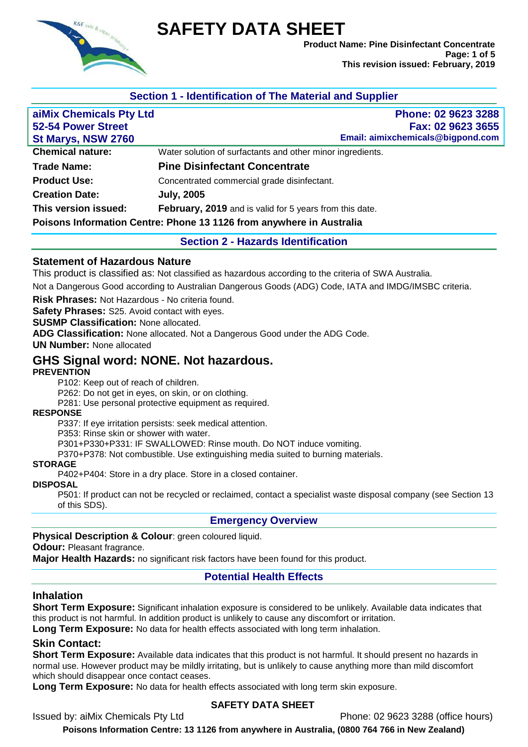

# **SAFETY DATA SHEET**

**Product Name: Pine Disinfectant Concentrate Page: 1 of 5 This revision issued: February, 2019**

# **Section 1 - Identification of The Material and Supplier**

| aiMix Chemicals Pty Ltd   | Phone: 02 9623 3288                                                  |
|---------------------------|----------------------------------------------------------------------|
| <b>52-54 Power Street</b> | Fax: 02 9623 3655                                                    |
| St Marys, NSW 2760        | Email: aimixchemicals@bigpond.com                                    |
| <b>Chemical nature:</b>   | Water solution of surfactants and other minor ingredients.           |
| <b>Trade Name:</b>        | <b>Pine Disinfectant Concentrate</b>                                 |
| <b>Product Use:</b>       | Concentrated commercial grade disinfectant.                          |
| <b>Creation Date:</b>     | <b>July, 2005</b>                                                    |
| This version issued:      | February, 2019 and is valid for 5 years from this date.              |
|                           | Poisons Information Centre: Phone 13 1126 from anywhere in Australia |

## **Section 2 - Hazards Identification**

#### **Statement of Hazardous Nature**

This product is classified as: Not classified as hazardous according to the criteria of SWA Australia.

Not a Dangerous Good according to Australian Dangerous Goods (ADG) Code, IATA and IMDG/IMSBC criteria.

**Risk Phrases:** Not Hazardous - No criteria found.

**Safety Phrases:** S25. Avoid contact with eyes.

**SUSMP Classification:** None allocated.

**ADG Classification:** None allocated. Not a Dangerous Good under the ADG Code.

**UN Number:** None allocated

# **GHS Signal word: NONE. Not hazardous.**

#### **PREVENTION**

P102: Keep out of reach of children.

P262: Do not get in eyes, on skin, or on clothing.

P281: Use personal protective equipment as required.

#### **RESPONSE**

P337: If eye irritation persists: seek medical attention.

P353: Rinse skin or shower with water.

P301+P330+P331: IF SWALLOWED: Rinse mouth. Do NOT induce vomiting.

P370+P378: Not combustible. Use extinguishing media suited to burning materials.

#### **STORAGE**

P402+P404: Store in a dry place. Store in a closed container.

# **DISPOSAL**

P501: If product can not be recycled or reclaimed, contact a specialist waste disposal company (see Section 13 of this SDS).

#### **Emergency Overview**

#### **Physical Description & Colour**: green coloured liquid.

**Odour:** Pleasant fragrance.

**Major Health Hazards:** no significant risk factors have been found for this product.

#### **Potential Health Effects**

#### **Inhalation**

**Short Term Exposure:** Significant inhalation exposure is considered to be unlikely. Available data indicates that this product is not harmful. In addition product is unlikely to cause any discomfort or irritation.

**Long Term Exposure:** No data for health effects associated with long term inhalation.

#### **Skin Contact:**

**Short Term Exposure:** Available data indicates that this product is not harmful. It should present no hazards in normal use. However product may be mildly irritating, but is unlikely to cause anything more than mild discomfort which should disappear once contact ceases.

**Long Term Exposure:** No data for health effects associated with long term skin exposure.

#### **SAFETY DATA SHEET**

Issued by: aiMix Chemicals Pty Ltd Phone: 02 9623 3288 (office hours)

**Poisons Information Centre: 13 1126 from anywhere in Australia, (0800 764 766 in New Zealand)**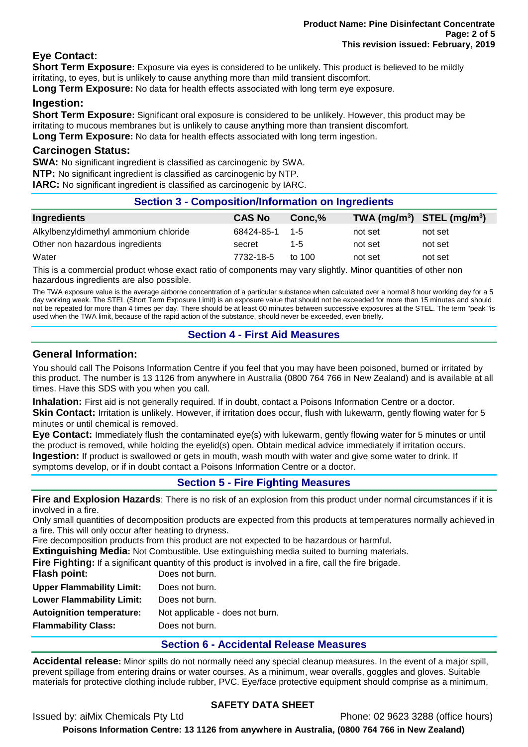# **Eye Contact:**

**Short Term Exposure:** Exposure via eyes is considered to be unlikely. This product is believed to be mildly irritating, to eyes, but is unlikely to cause anything more than mild transient discomfort.

**Long Term Exposure:** No data for health effects associated with long term eye exposure.

# **Ingestion:**

**Short Term Exposure:** Significant oral exposure is considered to be unlikely. However, this product may be irritating to mucous membranes but is unlikely to cause anything more than transient discomfort. **Long Term Exposure:** No data for health effects associated with long term ingestion.

#### **Carcinogen Status:**

**SWA:** No significant ingredient is classified as carcinogenic by SWA.

**NTP:** No significant ingredient is classified as carcinogenic by NTP.

**IARC:** No significant ingredient is classified as carcinogenic by IARC.

# **Section 3 - Composition/Information on Ingredients**

| Ingredients                           | <b>CAS No</b> | Conc.%   | TWA $(mg/m^3)$ STEL $(mg/m^3)$ |         |
|---------------------------------------|---------------|----------|--------------------------------|---------|
| Alkylbenzyldimethyl ammonium chloride | 68424-85-1    | - 1-5    | not set                        | not set |
| Other non hazardous ingredients       | secret        | 1-5      | not set                        | not set |
| Water                                 | 7732-18-5     | to $100$ | not set                        | not set |

This is a commercial product whose exact ratio of components may vary slightly. Minor quantities of other non hazardous ingredients are also possible.

The TWA exposure value is the average airborne concentration of a particular substance when calculated over a normal 8 hour working day for a 5 day working week. The STEL (Short Term Exposure Limit) is an exposure value that should not be exceeded for more than 15 minutes and should not be repeated for more than 4 times per day. There should be at least 60 minutes between successive exposures at the STEL. The term "peak "is used when the TWA limit, because of the rapid action of the substance, should never be exceeded, even briefly.

# **Section 4 - First Aid Measures**

## **General Information:**

You should call The Poisons Information Centre if you feel that you may have been poisoned, burned or irritated by this product. The number is 13 1126 from anywhere in Australia (0800 764 766 in New Zealand) and is available at all times. Have this SDS with you when you call.

**Inhalation:** First aid is not generally required. If in doubt, contact a Poisons Information Centre or a doctor.

**Skin Contact:** Irritation is unlikely. However, if irritation does occur, flush with lukewarm, gently flowing water for 5 minutes or until chemical is removed.

**Eye Contact:** Immediately flush the contaminated eye(s) with lukewarm, gently flowing water for 5 minutes or until the product is removed, while holding the eyelid(s) open. Obtain medical advice immediately if irritation occurs. **Ingestion:** If product is swallowed or gets in mouth, wash mouth with water and give some water to drink. If symptoms develop, or if in doubt contact a Poisons Information Centre or a doctor.

**Section 5 - Fire Fighting Measures**

**Fire and Explosion Hazards**: There is no risk of an explosion from this product under normal circumstances if it is involved in a fire.

Only small quantities of decomposition products are expected from this products at temperatures normally achieved in a fire. This will only occur after heating to dryness.

Fire decomposition products from this product are not expected to be hazardous or harmful.

**Extinguishing Media:** Not Combustible. Use extinguishing media suited to burning materials.

**Fire Fighting:** If a significant quantity of this product is involved in a fire, call the fire brigade.

| Flash point:                     | Does not burn.                  |
|----------------------------------|---------------------------------|
| <b>Upper Flammability Limit:</b> | Does not burn.                  |
| <b>Lower Flammability Limit:</b> | Does not burn.                  |
| <b>Autoignition temperature:</b> | Not applicable - does not burn. |
| <b>Flammability Class:</b>       | Does not burn.                  |
|                                  |                                 |

# **Section 6 - Accidental Release Measures**

**Accidental release:** Minor spills do not normally need any special cleanup measures. In the event of a major spill, prevent spillage from entering drains or water courses. As a minimum, wear overalls, goggles and gloves. Suitable materials for protective clothing include rubber, PVC. Eye/face protective equipment should comprise as a minimum,

# **SAFETY DATA SHEET**

Issued by: aiMix Chemicals Pty Ltd Phone: 02 9623 3288 (office hours)

**Poisons Information Centre: 13 1126 from anywhere in Australia, (0800 764 766 in New Zealand)**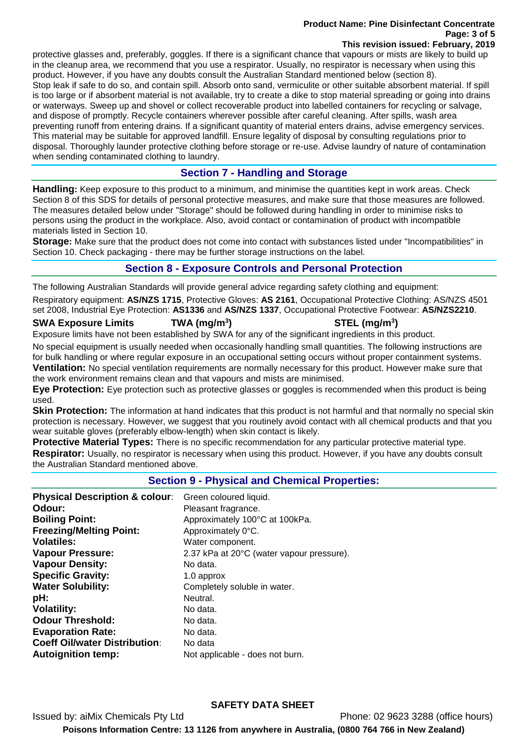#### **Product Name: Pine Disinfectant Concentrate Page: 3 of 5 This revision issued: February, 2019**

protective glasses and, preferably, goggles. If there is a significant chance that vapours or mists are likely to build up in the cleanup area, we recommend that you use a respirator. Usually, no respirator is necessary when using this product. However, if you have any doubts consult the Australian Standard mentioned below (section 8). Stop leak if safe to do so, and contain spill. Absorb onto sand, vermiculite or other suitable absorbent material. If spill is too large or if absorbent material is not available, try to create a dike to stop material spreading or going into drains or waterways. Sweep up and shovel or collect recoverable product into labelled containers for recycling or salvage, and dispose of promptly. Recycle containers wherever possible after careful cleaning. After spills, wash area preventing runoff from entering drains. If a significant quantity of material enters drains, advise emergency services. This material may be suitable for approved landfill. Ensure legality of disposal by consulting regulations prior to disposal. Thoroughly launder protective clothing before storage or re-use. Advise laundry of nature of contamination when sending contaminated clothing to laundry.

# **Section 7 - Handling and Storage**

**Handling:** Keep exposure to this product to a minimum, and minimise the quantities kept in work areas. Check Section 8 of this SDS for details of personal protective measures, and make sure that those measures are followed. The measures detailed below under "Storage" should be followed during handling in order to minimise risks to persons using the product in the workplace. Also, avoid contact or contamination of product with incompatible materials listed in Section 10.

**Storage:** Make sure that the product does not come into contact with substances listed under "Incompatibilities" in Section 10. Check packaging - there may be further storage instructions on the label.

## **Section 8 - Exposure Controls and Personal Protection**

The following Australian Standards will provide general advice regarding safety clothing and equipment:

Respiratory equipment: **AS/NZS 1715**, Protective Gloves: **AS 2161**, Occupational Protective Clothing: AS/NZS 4501 set 2008, Industrial Eye Protection: **AS1336** and **AS/NZS 1337**, Occupational Protective Footwear: **AS/NZS2210**.

#### **SWA Exposure Limits TWA (mg/m<sup>3</sup>**

# **) STEL (mg/m<sup>3</sup> )**

Exposure limits have not been established by SWA for any of the significant ingredients in this product.

No special equipment is usually needed when occasionally handling small quantities. The following instructions are for bulk handling or where regular exposure in an occupational setting occurs without proper containment systems. **Ventilation:** No special ventilation requirements are normally necessary for this product. However make sure that the work environment remains clean and that vapours and mists are minimised.

**Eye Protection:** Eye protection such as protective glasses or goggles is recommended when this product is being used.

**Skin Protection:** The information at hand indicates that this product is not harmful and that normally no special skin protection is necessary. However, we suggest that you routinely avoid contact with all chemical products and that you wear suitable gloves (preferably elbow-length) when skin contact is likely.

**Protective Material Types:** There is no specific recommendation for any particular protective material type. **Respirator:** Usually, no respirator is necessary when using this product. However, if you have any doubts consult the Australian Standard mentioned above.

# **Section 9 - Physical and Chemical Properties:**

| <b>Physical Description &amp; colour:</b> | Green coloured liquid.                    |
|-------------------------------------------|-------------------------------------------|
| Odour:                                    | Pleasant fragrance.                       |
| <b>Boiling Point:</b>                     | Approximately 100°C at 100kPa.            |
| <b>Freezing/Melting Point:</b>            | Approximately 0°C.                        |
| <b>Volatiles:</b>                         | Water component.                          |
| <b>Vapour Pressure:</b>                   | 2.37 kPa at 20°C (water vapour pressure). |
| <b>Vapour Density:</b>                    | No data.                                  |
| <b>Specific Gravity:</b>                  | 1.0 approx                                |
| <b>Water Solubility:</b>                  | Completely soluble in water.              |
| pH:                                       | Neutral.                                  |
| <b>Volatility:</b>                        | No data.                                  |
| <b>Odour Threshold:</b>                   | No data.                                  |
| <b>Evaporation Rate:</b>                  | No data.                                  |
| <b>Coeff Oil/water Distribution:</b>      | No data                                   |
| <b>Autoignition temp:</b>                 | Not applicable - does not burn.           |

#### **SAFETY DATA SHEET**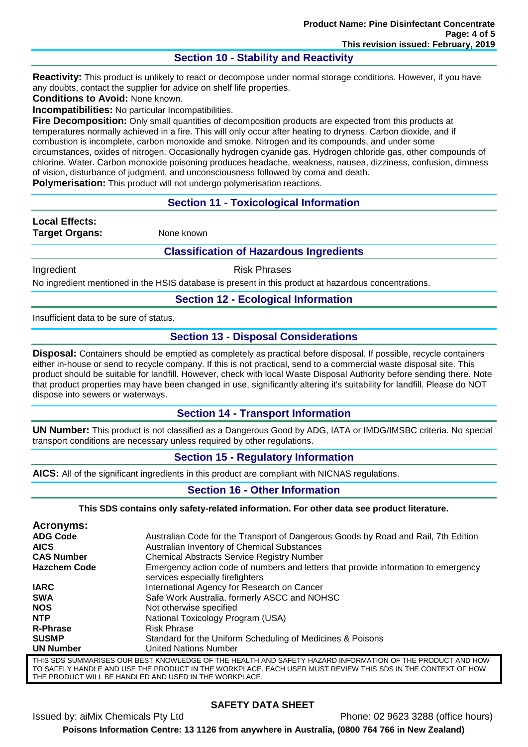# **Section 10 - Stability and Reactivity**

**Reactivity:** This product is unlikely to react or decompose under normal storage conditions. However, if you have any doubts, contact the supplier for advice on shelf life properties.

**Conditions to Avoid:** None known.

**Incompatibilities:** No particular Incompatibilities.

**Fire Decomposition:** Only small quantities of decomposition products are expected from this products at temperatures normally achieved in a fire. This will only occur after heating to dryness. Carbon dioxide, and if combustion is incomplete, carbon monoxide and smoke. Nitrogen and its compounds, and under some circumstances, oxides of nitrogen. Occasionally hydrogen cyanide gas. Hydrogen chloride gas, other compounds of chlorine. Water. Carbon monoxide poisoning produces headache, weakness, nausea, dizziness, confusion, dimness of vision, disturbance of judgment, and unconsciousness followed by coma and death.

**Polymerisation:** This product will not undergo polymerisation reactions.

## **Section 11 - Toxicological Information**

**Local Effects: Target Organs:** None known

#### **Classification of Hazardous Ingredients**

Ingredient **Risk Phrases** 

No ingredient mentioned in the HSIS database is present in this product at hazardous concentrations.

#### **Section 12 - Ecological Information**

Insufficient data to be sure of status.

## **Section 13 - Disposal Considerations**

**Disposal:** Containers should be emptied as completely as practical before disposal. If possible, recycle containers either in-house or send to recycle company. If this is not practical, send to a commercial waste disposal site. This product should be suitable for landfill. However, check with local Waste Disposal Authority before sending there. Note that product properties may have been changed in use, significantly altering it's suitability for landfill. Please do NOT dispose into sewers or waterways.

#### **Section 14 - Transport Information**

**UN Number:** This product is not classified as a Dangerous Good by ADG, IATA or IMDG/IMSBC criteria. No special transport conditions are necessary unless required by other regulations.

#### **Section 15 - Regulatory Information**

**AICS:** All of the significant ingredients in this product are compliant with NICNAS regulations.

#### **Section 16 - Other Information**

**This SDS contains only safety-related information. For other data see product literature.**

| Acronyms:           |                                                                                                                        |
|---------------------|------------------------------------------------------------------------------------------------------------------------|
| <b>ADG Code</b>     | Australian Code for the Transport of Dangerous Goods by Road and Rail, 7th Edition                                     |
| <b>AICS</b>         | Australian Inventory of Chemical Substances                                                                            |
| <b>CAS Number</b>   | <b>Chemical Abstracts Service Registry Number</b>                                                                      |
| <b>Hazchem Code</b> | Emergency action code of numbers and letters that provide information to emergency<br>services especially firefighters |
| <b>IARC</b>         | International Agency for Research on Cancer                                                                            |
| <b>SWA</b>          | Safe Work Australia, formerly ASCC and NOHSC                                                                           |
| <b>NOS</b>          | Not otherwise specified                                                                                                |
| <b>NTP</b>          | National Toxicology Program (USA)                                                                                      |
| <b>R-Phrase</b>     | <b>Risk Phrase</b>                                                                                                     |
| <b>SUSMP</b>        | Standard for the Uniform Scheduling of Medicines & Poisons                                                             |
| <b>UN Number</b>    | <b>United Nations Number</b>                                                                                           |
|                     | THIS SDS SUMMARISES OUR BEST KNOWLEDGE OF THE HEALTH AND SAFETY HAZARD INFORMATION OF THE PRODUCT AND HOV              |

THIS SDS SUMMARISES OUR BEST KNOWLEDGE OF THE HEALTH AND SAFETY HAZARD INFORMATION OF THE PRODUCT AND HOW TO SAFELY HANDLE AND USE THE PRODUCT IN THE WORKPLACE. EACH USER MUST REVIEW THIS SDS IN THE CONTEXT OF HOW THE PRODUCT WILL BE HANDLED AND USED IN THE WORKPLACE.

# **SAFETY DATA SHEET**

Issued by: aiMix Chemicals Pty Ltd Phone: 02 9623 3288 (office hours) **Poisons Information Centre: 13 1126 from anywhere in Australia, (0800 764 766 in New Zealand)**